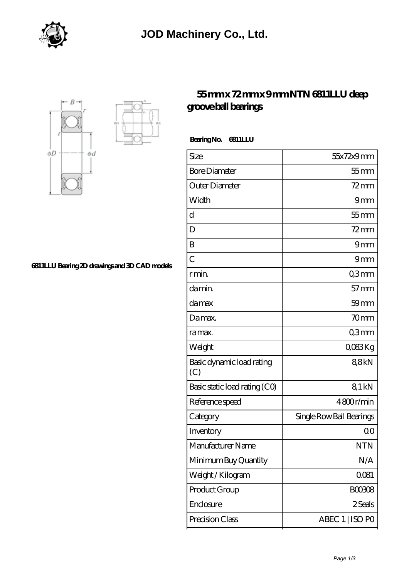





## **[55 mm x 72 mm x 9 mm NTN 6811LLU deep](https://virtual-solution.net/ntn-6811llu-bearing/) [groove ball bearings](https://virtual-solution.net/ntn-6811llu-bearing/)**

 **Bearing No. 6811LLU**

| Size                             | 55x72x9mm                |
|----------------------------------|--------------------------|
| <b>Bore Diameter</b>             | $55$ mm                  |
| Outer Diameter                   | $72$ mm                  |
| Width                            | 9mm                      |
| d                                | $55$ mm                  |
| D                                | $72$ mm                  |
| B                                | 9mm                      |
| $\overline{C}$                   | 9mm                      |
| r min.                           | Q3mm                     |
| da min.                          | $57$ mm                  |
| damax                            | $59$ mm                  |
| Damax.                           | 70mm                     |
| ra max.                          | Q3mm                     |
| Weight                           | QO83Kg                   |
| Basic dynamic load rating<br>(C) | 88kN                     |
| Basic static load rating (CO)    | 81 kN                    |
| Reference speed                  | 4800r/min                |
| Category                         | Single Row Ball Bearings |
| Inventory                        | 0 <sup>0</sup>           |
| Manufacturer Name                | <b>NTN</b>               |
| Minimum Buy Quantity             | N/A                      |
| Weight / Kilogram                | 0081                     |
| Product Group                    | <b>BOO3O8</b>            |
| Enclosure                        | 2 Seals                  |
| Precision Class                  | ABEC 1   ISO PO          |

**[6811LLU Bearing 2D drawings and 3D CAD models](https://virtual-solution.net/pic-65144999.html)**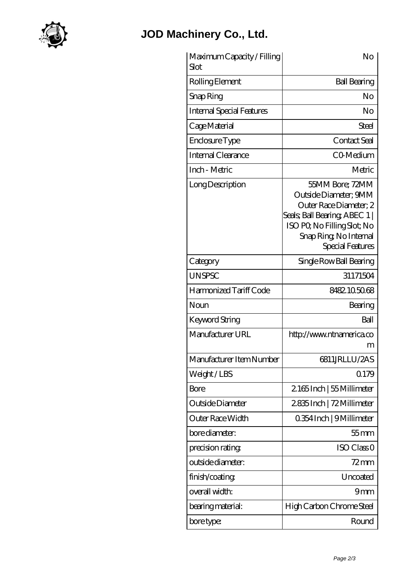

## **[JOD Machinery Co., Ltd.](https://virtual-solution.net)**

| Maximum Capacity / Filling<br>Slot | No                                                                                                                                                                               |
|------------------------------------|----------------------------------------------------------------------------------------------------------------------------------------------------------------------------------|
| Rolling Element                    | <b>Ball Bearing</b>                                                                                                                                                              |
| Snap Ring                          | No                                                                                                                                                                               |
| <b>Internal Special Features</b>   | No                                                                                                                                                                               |
| Cage Material                      | Steel                                                                                                                                                                            |
| Enclosure Type                     | Contact Seal                                                                                                                                                                     |
| Internal Clearance                 | C0 Medium                                                                                                                                                                        |
| Inch - Metric                      | Metric                                                                                                                                                                           |
| Long Description                   | 55MM Bore; 72MM<br>Outside Diameter; 9MM<br>Outer Race Diameter; 2<br>Seals; Ball Bearing; ABEC 1  <br>ISO PO, No Filling Slot; No<br>Snap Ring, No Internal<br>Special Features |
| Category                           | Single Row Ball Bearing                                                                                                                                                          |
| <b>UNSPSC</b>                      | 31171504                                                                                                                                                                         |
| Harmonized Tariff Code             | 8482105068                                                                                                                                                                       |
| Noun                               | Bearing                                                                                                                                                                          |
| Keyword String                     | Ball                                                                                                                                                                             |
| Manufacturer URL                   | http://www.ntnamerica.co<br>m                                                                                                                                                    |
| Manufacturer Item Number           | 6811JRLLU/2AS                                                                                                                                                                    |
| Weight/LBS                         | 0.179                                                                                                                                                                            |
| Bore                               | 2165Inch   55 Millimeter                                                                                                                                                         |
| Outside Diameter                   | 2835Inch   72 Millimeter                                                                                                                                                         |
| Outer Race Width                   | 0.354 Inch   9 Millimeter                                                                                                                                                        |
| bore diameter:                     | $55$ mm                                                                                                                                                                          |
| precision rating                   | ISO Class <sub>O</sub>                                                                                                                                                           |
| outside diameter:                  | 72 mm                                                                                                                                                                            |
| finish/coating                     | Uncoated                                                                                                                                                                         |
| overall width:                     | 9mm                                                                                                                                                                              |
| bearing material:                  | High Carbon Chrome Steel                                                                                                                                                         |
| bore type:                         | Round                                                                                                                                                                            |